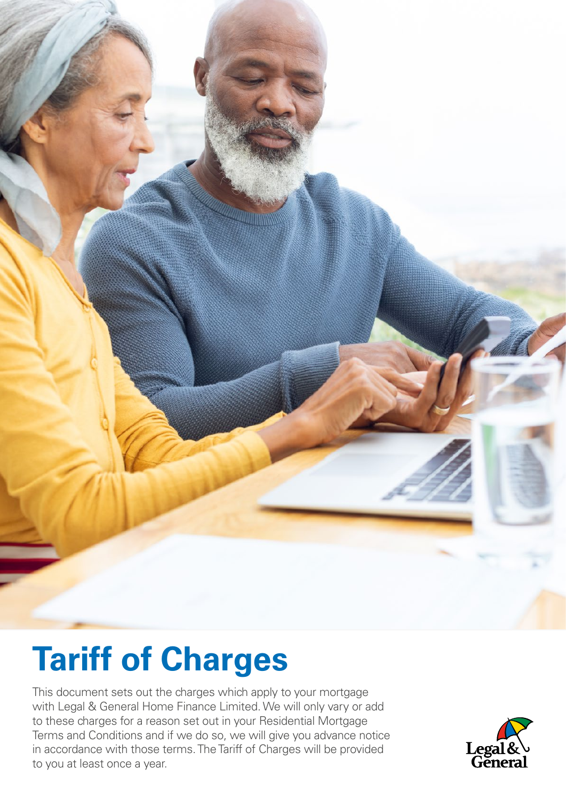

# **Tariff of Charges**

This document sets out the charges which apply to your mortgage with Legal & General Home Finance Limited. We will only vary or add to these charges for a reason set out in your Residential Mortgage Terms and Conditions and if we do so, we will give you advance notice in accordance with those terms. The Tariff of Charges will be provided to you at least once a year.

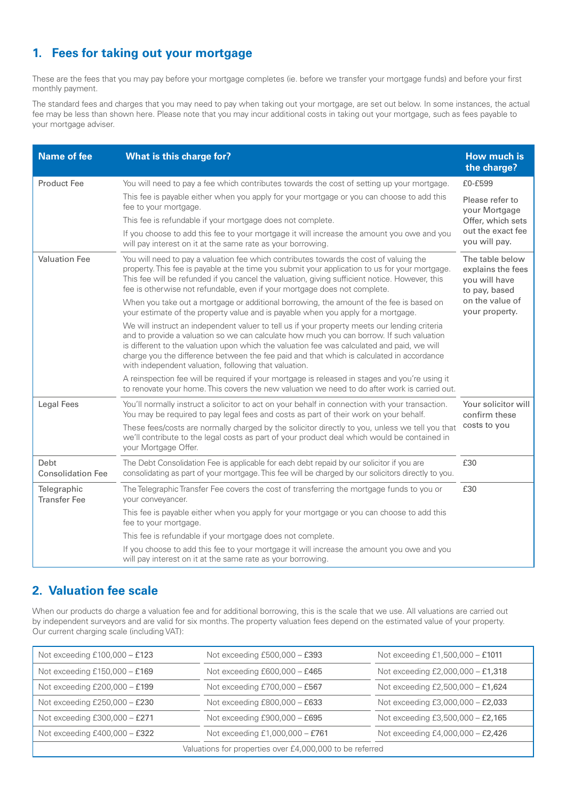## **1. Fees for taking out your mortgage**

These are the fees that you may pay before your mortgage completes (ie. before we transfer your mortgage funds) and before your first monthly payment.

The standard fees and charges that you may need to pay when taking out your mortgage, are set out below. In some instances, the actual fee may be less than shown here. Please note that you may incur additional costs in taking out your mortgage, such as fees payable to your mortgage adviser.

| <b>Name of fee</b>                 | What is this charge for?                                                                                                                                                                                                                                                                                                                                                                                                                        | <b>How much is</b><br>the charge?                                                                           |
|------------------------------------|-------------------------------------------------------------------------------------------------------------------------------------------------------------------------------------------------------------------------------------------------------------------------------------------------------------------------------------------------------------------------------------------------------------------------------------------------|-------------------------------------------------------------------------------------------------------------|
| <b>Product Fee</b>                 | You will need to pay a fee which contributes towards the cost of setting up your mortgage.                                                                                                                                                                                                                                                                                                                                                      | £0-£599                                                                                                     |
|                                    | This fee is payable either when you apply for your mortgage or you can choose to add this<br>fee to your mortgage.                                                                                                                                                                                                                                                                                                                              | Please refer to<br>your Mortgage<br>Offer, which sets<br>out the exact fee<br>you will pay.                 |
|                                    | This fee is refundable if your mortgage does not complete.                                                                                                                                                                                                                                                                                                                                                                                      |                                                                                                             |
|                                    | If you choose to add this fee to your mortgage it will increase the amount you owe and you<br>will pay interest on it at the same rate as your borrowing.                                                                                                                                                                                                                                                                                       |                                                                                                             |
| <b>Valuation Fee</b>               | You will need to pay a valuation fee which contributes towards the cost of valuing the<br>property. This fee is payable at the time you submit your application to us for your mortgage.<br>This fee will be refunded if you cancel the valuation, giving sufficient notice. However, this<br>fee is otherwise not refundable, even if your mortgage does not complete.                                                                         | The table below<br>explains the fees<br>you will have<br>to pay, based<br>on the value of<br>your property. |
|                                    | When you take out a mortgage or additional borrowing, the amount of the fee is based on<br>your estimate of the property value and is payable when you apply for a mortgage.                                                                                                                                                                                                                                                                    |                                                                                                             |
|                                    | We will instruct an independent valuer to tell us if your property meets our lending criteria<br>and to provide a valuation so we can calculate how much you can borrow. If such valuation<br>is different to the valuation upon which the valuation fee was calculated and paid, we will<br>charge you the difference between the fee paid and that which is calculated in accordance<br>with independent valuation, following that valuation. |                                                                                                             |
|                                    | A reinspection fee will be required if your mortgage is released in stages and you're using it<br>to renovate your home. This covers the new valuation we need to do after work is carried out.                                                                                                                                                                                                                                                 |                                                                                                             |
| <b>Legal Fees</b>                  | You'll normally instruct a solicitor to act on your behalf in connection with your transaction.<br>You may be required to pay legal fees and costs as part of their work on your behalf.                                                                                                                                                                                                                                                        | Your solicitor will<br>confirm these<br>costs to you                                                        |
|                                    | These fees/costs are normally charged by the solicitor directly to you, unless we tell you that<br>we'll contribute to the legal costs as part of your product deal which would be contained in<br>your Mortgage Offer.                                                                                                                                                                                                                         |                                                                                                             |
| Debt<br><b>Consolidation Fee</b>   | The Debt Consolidation Fee is applicable for each debt repaid by our solicitor if you are<br>consolidating as part of your mortgage. This fee will be charged by our solicitors directly to you.                                                                                                                                                                                                                                                | £30                                                                                                         |
| Telegraphic<br><b>Transfer Fee</b> | The Telegraphic Transfer Fee covers the cost of transferring the mortgage funds to you or<br>your conveyancer.                                                                                                                                                                                                                                                                                                                                  | £30                                                                                                         |
|                                    | This fee is payable either when you apply for your mortgage or you can choose to add this<br>fee to your mortgage.                                                                                                                                                                                                                                                                                                                              |                                                                                                             |
|                                    | This fee is refundable if your mortgage does not complete.                                                                                                                                                                                                                                                                                                                                                                                      |                                                                                                             |
|                                    | If you choose to add this fee to your mortgage it will increase the amount you owe and you<br>will pay interest on it at the same rate as your borrowing.                                                                                                                                                                                                                                                                                       |                                                                                                             |

#### **2. Valuation fee scale**

When our products do charge a valuation fee and for additional borrowing, this is the scale that we use. All valuations are carried out by independent surveyors and are valid for six months. The property valuation fees depend on the estimated value of your property. Our current charging scale (including VAT):

| Not exceeding $£100,000 - £123$                          | Not exceeding $£500,000 - £393$ | Not exceeding £1,500,000 - £1011  |  |  |
|----------------------------------------------------------|---------------------------------|-----------------------------------|--|--|
| Not exceeding $£150,000 - £169$                          | Not exceeding $£600,000 - £465$ | Not exceeding £2,000,000 - £1,318 |  |  |
| Not exceeding $£200,000 - £199$                          | Not exceeding £700,000 - £567   | Not exceeding £2,500,000 - £1,624 |  |  |
| Not exceeding $£250,000 - £230$                          | Not exceeding $E800,000 - E633$ | Not exceeding £3,000,000 - £2,033 |  |  |
| Not exceeding £300,000 - £271                            | Not exceeding $£900,000 - £695$ | Not exceeding £3,500,000 - £2,165 |  |  |
| Not exceeding $£400,000 - £322$                          | Not exceeding £1,000,000 - £761 | Not exceeding £4,000,000 - £2,426 |  |  |
| Valuations for properties over £4,000,000 to be referred |                                 |                                   |  |  |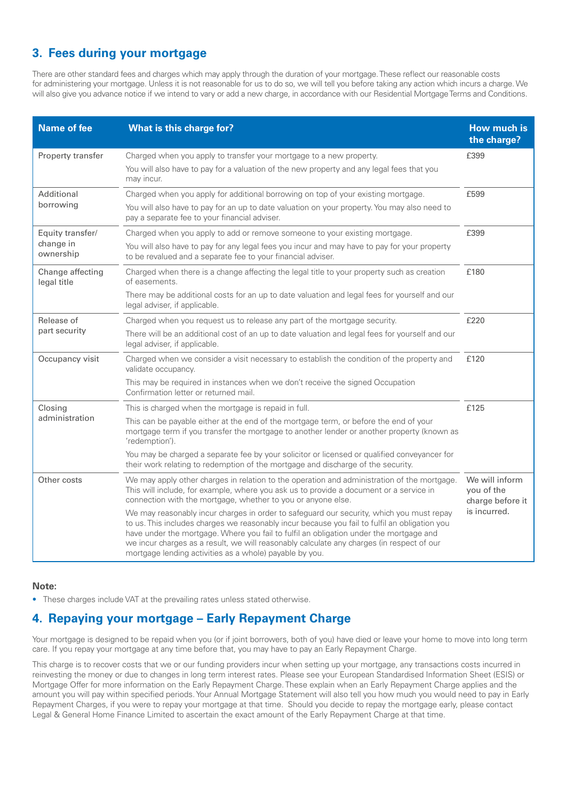### **3. Fees during your mortgage**

There are other standard fees and charges which may apply through the duration of your mortgage. These reflect our reasonable costs for administering your mortgage. Unless it is not reasonable for us to do so, we will tell you before taking any action which incurs a charge. We will also give you advance notice if we intend to vary or add a new charge, in accordance with our Residential Mortgage Terms and Conditions.

| <b>Name of fee</b>                         | What is this charge for?                                                                                                                                                                                                                                                                                                                                                                                                                    | How much is<br>the charge?                       |
|--------------------------------------------|---------------------------------------------------------------------------------------------------------------------------------------------------------------------------------------------------------------------------------------------------------------------------------------------------------------------------------------------------------------------------------------------------------------------------------------------|--------------------------------------------------|
| Property transfer                          | Charged when you apply to transfer your mortgage to a new property.<br>You will also have to pay for a valuation of the new property and any legal fees that you                                                                                                                                                                                                                                                                            | £399                                             |
| Additional<br>borrowing                    | may incur.<br>Charged when you apply for additional borrowing on top of your existing mortgage.                                                                                                                                                                                                                                                                                                                                             | £599                                             |
|                                            | You will also have to pay for an up to date valuation on your property. You may also need to<br>pay a separate fee to your financial adviser.                                                                                                                                                                                                                                                                                               |                                                  |
| Equity transfer/<br>change in<br>ownership | Charged when you apply to add or remove someone to your existing mortgage.<br>You will also have to pay for any legal fees you incur and may have to pay for your property<br>to be revalued and a separate fee to your financial adviser.                                                                                                                                                                                                  | £399                                             |
| Change affecting<br>legal title            | Charged when there is a change affecting the legal title to your property such as creation<br>of easements.                                                                                                                                                                                                                                                                                                                                 | £180                                             |
|                                            | There may be additional costs for an up to date valuation and legal fees for yourself and our<br>legal adviser, if applicable.                                                                                                                                                                                                                                                                                                              |                                                  |
| Release of<br>part security                | Charged when you request us to release any part of the mortgage security.<br>There will be an additional cost of an up to date valuation and legal fees for yourself and our<br>legal adviser, if applicable.                                                                                                                                                                                                                               | £220                                             |
| Occupancy visit                            | Charged when we consider a visit necessary to establish the condition of the property and<br>validate occupancy.                                                                                                                                                                                                                                                                                                                            | £120                                             |
|                                            | This may be required in instances when we don't receive the signed Occupation<br>Confirmation letter or returned mail.                                                                                                                                                                                                                                                                                                                      |                                                  |
| Closing<br>administration                  | This is charged when the mortgage is repaid in full.                                                                                                                                                                                                                                                                                                                                                                                        | £125                                             |
|                                            | This can be payable either at the end of the mortgage term, or before the end of your<br>mortgage term if you transfer the mortgage to another lender or another property (known as<br>'redemption').                                                                                                                                                                                                                                       |                                                  |
|                                            | You may be charged a separate fee by your solicitor or licensed or qualified conveyancer for<br>their work relating to redemption of the mortgage and discharge of the security.                                                                                                                                                                                                                                                            |                                                  |
| Other costs                                | We may apply other charges in relation to the operation and administration of the mortgage.<br>This will include, for example, where you ask us to provide a document or a service in<br>connection with the mortgage, whether to you or anyone else.                                                                                                                                                                                       | We will inform<br>you of the<br>charge before it |
|                                            | We may reasonably incur charges in order to safeguard our security, which you must repay<br>to us. This includes charges we reasonably incur because you fail to fulfil an obligation you<br>have under the mortgage. Where you fail to fulfil an obligation under the mortgage and<br>we incur charges as a result, we will reasonably calculate any charges (in respect of our<br>mortgage lending activities as a whole) payable by you. | is incurred.                                     |

#### **Note:**

• These charges include VAT at the prevailing rates unless stated otherwise.

#### **4. Repaying your mortgage – Early Repayment Charge**

Your mortgage is designed to be repaid when you (or if joint borrowers, both of you) have died or leave your home to move into long term care. If you repay your mortgage at any time before that, you may have to pay an Early Repayment Charge.

This charge is to recover costs that we or our funding providers incur when setting up your mortgage, any transactions costs incurred in reinvesting the money or due to changes in long term interest rates. Please see your European Standardised Information Sheet (ESIS) or Mortgage Offer for more information on the Early Repayment Charge. These explain when an Early Repayment Charge applies and the amount you will pay within specified periods. Your Annual Mortgage Statement will also tell you how much you would need to pay in Early Repayment Charges, if you were to repay your mortgage at that time. Should you decide to repay the mortgage early, please contact Legal & General Home Finance Limited to ascertain the exact amount of the Early Repayment Charge at that time.